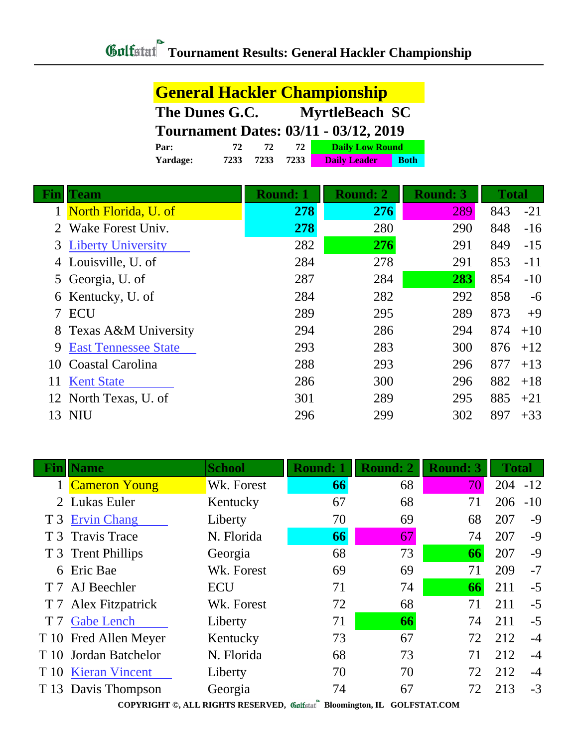**General Hackler Championship**

|            | The Dunes G.C.                               | <b>MyrtleBeach SC</b> |                        |                 |              |       |
|------------|----------------------------------------------|-----------------------|------------------------|-----------------|--------------|-------|
|            | <b>Tournament Dates: 03/11 - 03/12, 2019</b> |                       |                        |                 |              |       |
|            | 72<br>Par:                                   | 72<br>72              | <b>Daily Low Round</b> |                 |              |       |
|            | 7233<br>Yardage:                             | 7233<br>7233          | <b>Daily Leader</b>    | <b>Both</b>     |              |       |
| <b>Fin</b> | <b>Team</b>                                  | <b>Round: 1</b>       | <b>Round: 2</b>        | <b>Round: 3</b> | <b>Total</b> |       |
|            | North Florida, U. of                         | 278                   | 276                    | 289             | 843          | $-21$ |
|            | Wake Forest Univ.                            | 278                   | 280                    | 290             | 848          | -16   |
| 3          | <b>Liberty University</b>                    | 282                   | 276                    | 291             | 849          | $-15$ |
| 4          | Louisville, U. of                            | 284                   | 278                    | 291             | 853          | -11   |
| 5          | Georgia, U. of                               | 287                   | 284                    | 283             | 854          | $-10$ |
| 6          | Kentucky, U. of                              | 284                   | 282                    | 292             | 858          | $-6$  |
| 7          | <b>ECU</b>                                   | 289                   | 295                    | 289             | 873          | $+9$  |
| 8          | Texas A&M University                         | 294                   | 286                    | 294             | 874          | $+10$ |
| 9          | <b>East Tennessee State</b>                  | 293                   | 283                    | 300             | 876          | $+12$ |
| 10         | Coastal Carolina                             | 288                   | 293                    | 296             | 877          | $+13$ |
| 11         | <b>Kent State</b>                            | 286                   | 300                    | 296             | 882          | $+18$ |
| 12         | North Texas, U. of                           | 301                   | 289                    | 295             | 885          | $+21$ |
| 13         | NIU                                          | 296                   | 299                    | 302             | 897          | $+33$ |

| Fin            | <b>Name</b>           | <b>School</b> | <b>Round: 1</b> | <b>Round: 2</b> | <b>Round: 3</b> | <b>Total</b> |       |
|----------------|-----------------------|---------------|-----------------|-----------------|-----------------|--------------|-------|
|                | 1 Cameron Young       | Wk. Forest    | 66              | 68              | 70              | 204          | $-12$ |
|                | 2 Lukas Euler         | Kentucky      | 67              | 68              | 71              | 206          | $-10$ |
|                | T 3 Ervin Chang       | Liberty       | 70              | 69              | 68              | 207          | $-9$  |
|                | T 3 Travis Trace      | N. Florida    | 66              | 67              | 74              | 207          | $-9$  |
|                | T 3 Trent Phillips    | Georgia       | 68              | 73              | 66              | 207          | $-9$  |
| 6              | Eric Bae              | Wk. Forest    | 69              | 69              | 71              | 209          | $-7$  |
|                | T 7 AJ Beechler       | <b>ECU</b>    | 71              | 74              | 66              | 211          | $-5$  |
|                | T 7 Alex Fitzpatrick  | Wk. Forest    | 72              | 68              | 71              | 211          | $-5$  |
| T <sub>7</sub> | <b>Gabe Lench</b>     | Liberty       | 71              | 66              | 74              | 211          | $-5$  |
|                | T 10 Fred Allen Meyer | Kentucky      | 73              | 67              | 72              | 212          | $-4$  |
| T 10           | Jordan Batchelor      | N. Florida    | 68              | 73              | 71              | 212          | $-4$  |
|                | T 10 Kieran Vincent   | Liberty       | 70              | 70              | 72              | 212          | $-4$  |
|                | T 13 Davis Thompson   | Georgia       | 74              | 67              | 72              | 213          | $-3$  |

**COPYRIGHT ©, ALL RIGHTS RESERVED, Bloomington, IL GOLFSTAT.COM**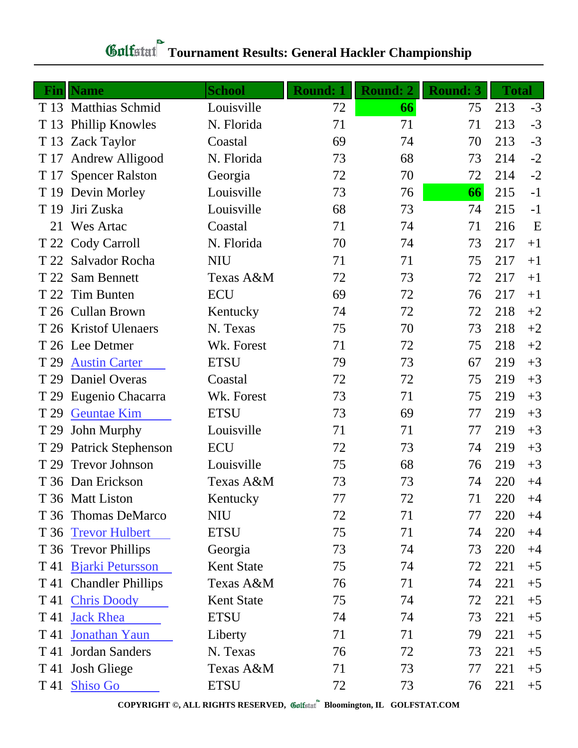| Fin  | <b>Name</b>               | <b>School</b>     | <b>Round: 1</b> | <b>Round: 2</b> | <b>Round: 3</b> | <b>Total</b> |      |
|------|---------------------------|-------------------|-----------------|-----------------|-----------------|--------------|------|
|      | T 13 Matthias Schmid      | Louisville        | 72              | 66              | 75              | 213          | $-3$ |
| T 13 | <b>Phillip Knowles</b>    | N. Florida        | 71              | 71              | 71              | 213          | $-3$ |
| T 13 | <b>Zack Taylor</b>        | Coastal           | 69              | 74              | 70              | 213          | $-3$ |
| T 17 | Andrew Alligood           | N. Florida        | 73              | 68              | 73              | 214          | $-2$ |
|      | T 17 Spencer Ralston      | Georgia           | 72              | 70              | 72              | 214          | $-2$ |
| T 19 | Devin Morley              | Louisville        | 73              | 76              | 66              | 215          | $-1$ |
| T 19 | Jiri Zuska                | Louisville        | 68              | 73              | 74              | 215          | $-1$ |
| 21   | <b>Wes Artac</b>          | Coastal           | 71              | 74              | 71              | 216          | E    |
|      | T 22 Cody Carroll         | N. Florida        | 70              | 74              | 73              | 217          | $+1$ |
| T 22 | Salvador Rocha            | <b>NIU</b>        | 71              | 71              | 75              | 217          | $+1$ |
| T 22 | <b>Sam Bennett</b>        | Texas A&M         | 72              | 73              | 72              | 217          | $+1$ |
| T 22 | Tim Bunten                | <b>ECU</b>        | 69              | 72              | 76              | 217          | $+1$ |
|      | T 26 Cullan Brown         | Kentucky          | 74              | 72              | 72              | 218          | $+2$ |
|      | T 26 Kristof Ulenaers     | N. Texas          | 75              | 70              | 73              | 218          | $+2$ |
|      | T 26 Lee Detmer           | Wk. Forest        | 71              | 72              | 75              | 218          | $+2$ |
| T 29 | <b>Austin Carter</b>      | <b>ETSU</b>       | 79              | 73              | 67              | 219          | $+3$ |
| T 29 | Daniel Overas             | Coastal           | 72              | 72              | 75              | 219          | $+3$ |
| T 29 | Eugenio Chacarra          | Wk. Forest        | 73              | 71              | 75              | 219          | $+3$ |
| T 29 | <b>Geuntae Kim</b>        | <b>ETSU</b>       | 73              | 69              | 77              | 219          | $+3$ |
| T 29 | John Murphy               | Louisville        | 71              | 71              | 77              | 219          | $+3$ |
| T 29 | <b>Patrick Stephenson</b> | <b>ECU</b>        | 72              | 73              | 74              | 219          | $+3$ |
| T 29 | <b>Trevor Johnson</b>     | Louisville        | 75              | 68              | 76              | 219          | $+3$ |
|      | T 36 Dan Erickson         | Texas A&M         | 73              | 73              | 74              | 220          | $+4$ |
|      | T 36 Matt Liston          | Kentucky          | 77              | 72              | 71              | 220          | $+4$ |
|      | T 36 Thomas DeMarco       | <b>NIU</b>        | 72              | 71              | 77              | 220          | $+4$ |
| T 36 | <b>Trevor Hulbert</b>     | <b>ETSU</b>       | 75              | 71              | 74              | 220          | $+4$ |
|      | T 36 Trevor Phillips      | Georgia           | 73              | 74              | 73              | 220          | $+4$ |
|      | T 41 Bjarki Petursson     | <b>Kent State</b> | 75              | 74              | 72              | 221          | $+5$ |
|      | T 41 Chandler Phillips    | Texas A&M         | 76              | 71              | 74              | 221          | $+5$ |
|      | T 41 Chris Doody          | <b>Kent State</b> | 75              | 74              | 72              | 221          | $+5$ |
| T 41 | <b>Jack Rhea</b>          | <b>ETSU</b>       | 74              | 74              | 73              | 221          | $+5$ |
| T 41 | Jonathan Yaun             | Liberty           | 71              | 71              | 79              | 221          | $+5$ |
| T 41 | Jordan Sanders            | N. Texas          | 76              | 72              | 73              | 221          | $+5$ |
|      | T 41 Josh Gliege          | Texas A&M         | 71              | 73              | 77              | 221          | $+5$ |
|      | T 41 Shiso Go             | <b>ETSU</b>       | 72              | 73              | 76              | 221          | $+5$ |

## **Tournament Results: General Hackler Championship**

**COPYRIGHT ©, ALL RIGHTS RESERVED, Bloomington, IL GOLFSTAT.COM**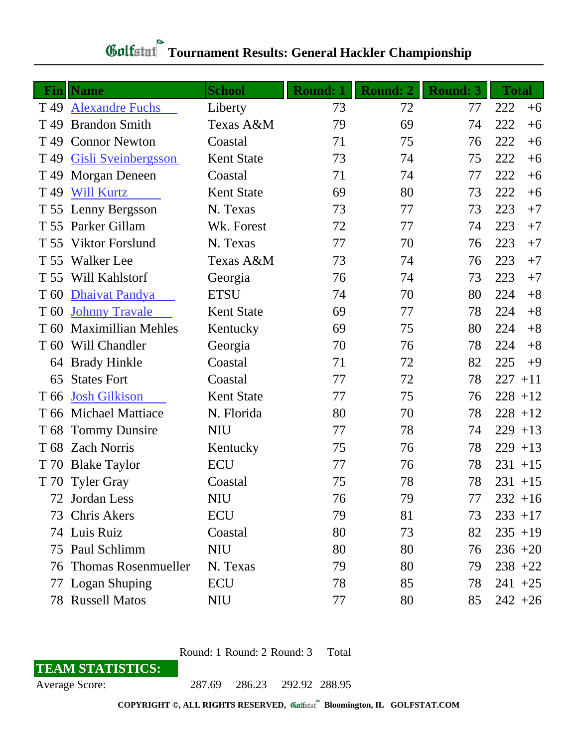## *Gulfatat* Tournament Results: General Hackler Championship

| Fin             | <b>Name</b>                | <b>School</b>     | <b>Round: 1</b> | <b>Round: 2</b> | <b>Round: 3</b> | <b>Total</b> |
|-----------------|----------------------------|-------------------|-----------------|-----------------|-----------------|--------------|
| T <sub>49</sub> | <b>Alexandre Fuchs</b>     | Liberty           | 73              | 72              | 77              | 222<br>$+6$  |
| T <sub>49</sub> | <b>Brandon Smith</b>       | Texas A&M         | 79              | 69              | 74              | 222<br>$+6$  |
| T <sub>49</sub> | <b>Connor Newton</b>       | Coastal           | 71              | 75              | 76              | 222<br>$+6$  |
| T 49            | Gisli Sveinbergsson        | <b>Kent State</b> | 73              | 74              | 75              | 222<br>$+6$  |
| T 49            | Morgan Deneen              | Coastal           | 71              | 74              | 77              | 222<br>$+6$  |
| T <sub>49</sub> | <b>Will Kurtz</b>          | <b>Kent State</b> | 69              | 80              | 73              | 222<br>$+6$  |
| T 55            | Lenny Bergsson             | N. Texas          | 73              | 77              | 73              | 223<br>$+7$  |
| T 55            | Parker Gillam              | Wk. Forest        | 72              | 77              | 74              | 223<br>$+7$  |
| T 55            | <b>Viktor Forslund</b>     | N. Texas          | 77              | 70              | 76              | 223<br>$+7$  |
| T 55            | <b>Walker</b> Lee          | Texas A&M         | 73              | 74              | 76              | 223<br>$+7$  |
| T 55            | Will Kahlstorf             | Georgia           | 76              | 74              | 73              | 223<br>$+7$  |
| T 60            | Dhaivat Pandya             | <b>ETSU</b>       | 74              | 70              | 80              | 224<br>$+8$  |
| T <sub>60</sub> | <b>Johnny Travale</b>      | <b>Kent State</b> | 69              | 77              | 78              | 224<br>$+8$  |
| T 60            | <b>Maximillian Mehles</b>  | Kentucky          | 69              | 75              | 80              | 224<br>$+8$  |
| T <sub>60</sub> | Will Chandler              | Georgia           | 70              | 76              | 78              | 224<br>$+8$  |
| 64              | <b>Brady Hinkle</b>        | Coastal           | 71              | 72              | 82              | 225<br>$+9$  |
| 65              | <b>States Fort</b>         | Coastal           | 77              | 72              | 78              | 227<br>$+11$ |
| T 66            | <b>Josh Gilkison</b>       | <b>Kent State</b> | 77              | 75              | 76              | $228 + 12$   |
| T 66            | <b>Michael Mattiace</b>    | N. Florida        | 80              | 70              | 78              | $228 + 12$   |
| T 68            | <b>Tommy Dunsire</b>       | <b>NIU</b>        | 77              | 78              | 74              | $229 + 13$   |
| T 68            | <b>Zach Norris</b>         | Kentucky          | 75              | 76              | 78              | $229 + 13$   |
| T 70            | <b>Blake Taylor</b>        | <b>ECU</b>        | 77              | 76              | 78              | 231<br>$+15$ |
| T 70            | <b>Tyler Gray</b>          | Coastal           | 75              | 78              | 78              | $231 + 15$   |
|                 | 72 Jordan Less             | NIU               | 76              | 79              | 77              | $232 + 16$   |
|                 | 73 Chris Akers             | <b>ECU</b>        | 79              | 81              | 73              | $233 + 17$   |
|                 | 74 Luis Ruiz               | Coastal           | 80              | 73              | 82              | $235 + 19$   |
|                 | 75 Paul Schlimm            | <b>NIU</b>        | 80              | 80              | 76              | $236 + 20$   |
| 76              | <b>Thomas Rosenmueller</b> | N. Texas          | 79              | 80              | 79              | $238 + 22$   |
| 77              | <b>Logan Shuping</b>       | <b>ECU</b>        | 78              | 85              | 78              | $241 + 25$   |
|                 | 78 Russell Matos           | <b>NIU</b>        | 77              | 80              | 85              | $242 + 26$   |

Round: 1 Round: 2 Round: 3 Total

## **TEAM STATISTICS:**

Average Score: 287.69 286.23 292.92 288.95

**COPYRIGHT ©, ALL RIGHTS RESERVED, Bloomington, IL GOLFSTAT.COM**